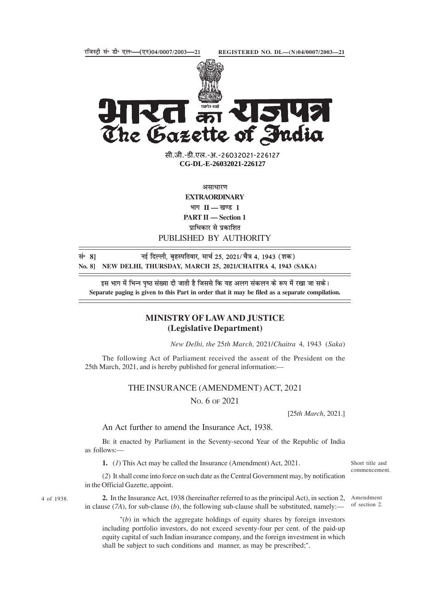



सी.जी.-डी.एल.-अ.-26032021-22612<mark>7</mark> **xxxGIDExxx CG-DL-E-26032021-226127**

असाधारण

**EXTRAORDINARY** भाग **II — खण्ड** 1 **PART II — Section 1** प्राधिकार से प्रकाशित PUBLISHED BY AUTHORITY

सं॰ 8] बाइ दिल्ली, बृहस्पतिवार, मार्च 25, 2021/ चैत्र 4, 1943 (शक) **No. 8] NEW DELHI, THURSDAY, MARCH 25, 2021/CHAITRA 4, 1943 (SAKA)**

इस भाग में भिन्न पृष्ठ संख्या दी जाती है जिससे कि यह अलग संकलन के रूप में रखा जा सके। **Separate paging is given to this Part in order that it may be filed as a separate compilation.**

## **MINISTRY OF LAW AND JUSTICE (Legislative Department)**

*New Delhi, the* 25*th March,* 2021/*Chaitra* 4*,* 1943 (*Saka*)

The following Act of Parliament received the assent of the President on the 25th March, 2021, and is hereby published for general information:—

## THE INSURANCE (AMENDMENT) ACT, 2021

NO. 6 OF 2021

[25*th March*, 2021.]

Short title and commencement.

An Act further to amend the Insurance Act, 1938.

BE it enacted by Parliament in the Seventy-second Year of the Republic of India as follows:—

**1.** (*1*) This Act may be called the Insurance (Amendment) Act, 2021.

(*2*) It shall come into force on such date as the Central Government may, by notification in the Official Gazette, appoint.

**2.** In the Insurance Act, 1938 (hereinafter referred to as the principal Act), in section 2, in clause (*7A*), for sub-clause (*b*), the following sub-clause shall be substituted, namely:— Amendment of section 2.

"(*b*) in which the aggregate holdings of equity shares by foreign investors including portfolio investors, do not exceed seventy-four per cent. of the paid-up equity capital of such Indian insurance company, and the foreign investment in which shall be subject to such conditions and manner, as may be prescribed;".

4 of 1938.